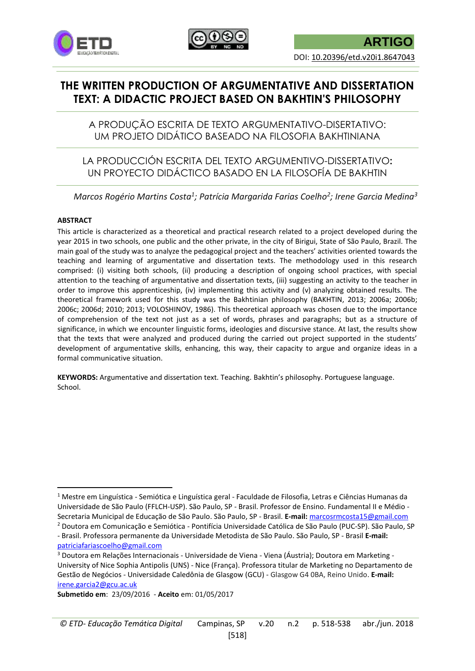



# **THE WRITTEN PRODUCTION OF ARGUMENTATIVE AND DISSERTATION TEXT: A DIDACTIC PROJECT BASED ON BAKHTIN'S PHILOSOPHY**

A PRODUÇÃO ESCRITA DE TEXTO ARGUMENTATIVO-DISERTATIVO: UM PROJETO DIDÁTICO BASEADO NA FILOSOFIA BAKHTINIANA

LA PRODUCCIÓN ESCRITA DEL TEXTO ARGUMENTIVO-DISSERTATIVO**:**  UN PROYECTO DIDÁCTICO BASADO EN LA FILOSOFÍA DE BAKHTIN

*Marcos Rogério Martins Costa<sup>1</sup> ; Patrícia Margarida Farias Coelho<sup>2</sup> ; Irene Garcia Medina<sup>3</sup>*

#### **ABSTRACT**

1

This article is characterized as a theoretical and practical research related to a project developed during the year 2015 in two schools, one public and the other private, in the city of Birigui, State of São Paulo, Brazil. The main goal of the study was to analyze the pedagogical project and the teachers' activities oriented towards the teaching and learning of argumentative and dissertation texts. The methodology used in this research comprised: (i) visiting both schools, (ii) producing a description of ongoing school practices, with special attention to the teaching of argumentative and dissertation texts, (iii) suggesting an activity to the teacher in order to improve this apprenticeship, (iv) implementing this activity and (v) analyzing obtained results. The theoretical framework used for this study was the Bakhtinian philosophy (BAKHTIN, 2013; 2006a; 2006b; 2006c; 2006d; 2010; 2013; VOLOSHINOV, 1986). This theoretical approach was chosen due to the importance of comprehension of the text not just as a set of words, phrases and paragraphs; but as a structure of significance, in which we encounter linguistic forms, ideologies and discursive stance. At last, the results show that the texts that were analyzed and produced during the carried out project supported in the students' development of argumentative skills, enhancing, this way, their capacity to argue and organize ideas in a formal communicative situation.

**KEYWORDS:** Argumentative and dissertation text. Teaching. Bakhtin's philosophy. Portuguese language. School.

<sup>1</sup> Mestre em Linguística - Semiótica e Linguística geral - Faculdade de Filosofia, Letras e Ciências Humanas da Universidade de São Paulo (FFLCH-USP). São Paulo, SP - Brasil. Professor de Ensino. Fundamental II e Médio - Secretaria Municipal de Educação de São Paulo. São Paulo, SP - Brasil. **E-mail:** [marcosrmcosta15@gmail.com](mailto:marcosrmcosta15@gmail.com) <sup>2</sup> Doutora em Comunicação e Semiótica - Pontifícia Universidade Católica de São Paulo (PUC-SP). São Paulo, SP

<sup>-</sup> Brasil. Professora permanente da Universidade Metodista de São Paulo. São Paulo, SP - Brasil **E-mail:**  [patriciafariascoelho@gmail.com](mailto:patriciafariascoelho@gmail.com)

<sup>3</sup> Doutora em Relações Internacionais - Universidade de Viena - Viena (Áustria); Doutora em Marketing - University of Nice Sophia Antipolis (UNS) - Nice (França). Professora titular de Marketing no Departamento de Gestão de Negócios - Universidade Caledônia de Glasgow (GCU) - Glasgow G4 0BA, Reino Unido. **E-mail:**  [irene.garcia2@gcu.ac.uk](mailto:irene.garcia2@gcu.ac.uk)

**Submetido em**: 23/09/2016 - **Aceito** em: 01/05/2017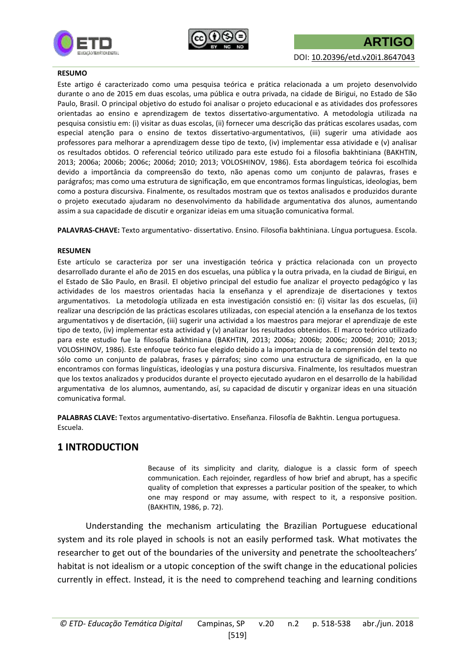



#### **RESUMO**

Este artigo é caracterizado como uma pesquisa teórica e prática relacionada a um projeto desenvolvido durante o ano de 2015 em duas escolas, uma pública e outra privada, na cidade de Birigui, no Estado de São Paulo, Brasil. O principal objetivo do estudo foi analisar o projeto educacional e as atividades dos professores orientadas ao ensino e aprendizagem de textos dissertativo-argumentativo. A metodologia utilizada na pesquisa consistiu em: (i) visitar as duas escolas, (ii) fornecer uma descrição das práticas escolares usadas, com especial atenção para o ensino de textos dissertativo-argumentativos, (iii) sugerir uma atividade aos professores para melhorar a aprendizagem desse tipo de texto, (iv) implementar essa atividade e (v) analisar os resultados obtidos. O referencial teórico utilizado para este estudo foi a filosofia bakhtiniana (BAKHTIN, 2013; 2006a; 2006b; 2006c; 2006d; 2010; 2013; VOLOSHINOV, 1986). Esta abordagem teórica foi escolhida devido a importância da compreensão do texto, não apenas como um conjunto de palavras, frases e parágrafos; mas como uma estrutura de significação, em que encontramos formas linguísticas, ideologias, bem como a postura discursiva. Finalmente, os resultados mostram que os textos analisados e produzidos durante o projeto executado ajudaram no desenvolvimento da habilidade argumentativa dos alunos, aumentando assim a sua capacidade de discutir e organizar ideias em uma situação comunicativa formal.

**PALAVRAS-CHAVE:** Texto argumentativo- dissertativo. Ensino. Filosofia bakhtiniana. Língua portuguesa. Escola.

#### **RESUMEN**

Este artículo se caracteriza por ser una investigación teórica y práctica relacionada con un proyecto desarrollado durante el año de 2015 en dos escuelas, una pública y la outra privada, en la ciudad de Birigui, en el Estado de São Paulo, en Brasil. El objetivo principal del estudio fue analizar el proyecto pedagógico y las actividades de los maestros orientadas hacia la enseñanza y el aprendizaje de disertaciones y textos argumentativos. La metodología utilizada en esta investigación consistió en: (i) visitar las dos escuelas, (ii) realizar una descripción de las prácticas escolares utilizadas, con especial atención a la enseñanza de los textos argumentativos y de disertación, (iii) sugerir una actividad a los maestros para mejorar el aprendizaje de este tipo de texto, (iv) implementar esta actividad y (v) analizar los resultados obtenidos. El marco teórico utilizado para este estudio fue la filosofía Bakhtiniana (BAKHTIN, 2013; 2006a; 2006b; 2006c; 2006d; 2010; 2013; VOLOSHINOV, 1986). Este enfoque teórico fue elegido debido a la importancia de la comprensión del texto no sólo como un conjunto de palabras, frases y párrafos; sino como una estructura de significado, en la que encontramos con formas linguísticas, ideologías y una postura discursiva. Finalmente, los resultados muestran que los textos analizados y producidos durante el proyecto ejecutado ayudaron en el desarrollo de la habilidad argumentativa de los alumnos, aumentando, así, su capacidad de discutir y organizar ideas en una situación comunicativa formal.

**PALABRAS CLAVE:** Textos argumentativo-disertativo. Enseñanza. Filosofía de Bakhtin. Lengua portuguesa. Escuela.

### **1 INTRODUCTION**

Because of its simplicity and clarity, dialogue is a classic form of speech communication. Each rejoinder, regardless of how brief and abrupt, has a specific quality of completion that expresses a particular position of the speaker, to which one may respond or may assume, with respect to it, a responsive position. (BAKHTIN, 1986, p. 72).

Understanding the mechanism articulating the Brazilian Portuguese educational system and its role played in schools is not an easily performed task. What motivates the researcher to get out of the boundaries of the university and penetrate the schoolteachers' habitat is not idealism or a utopic conception of the swift change in the educational policies currently in effect. Instead, it is the need to comprehend teaching and learning conditions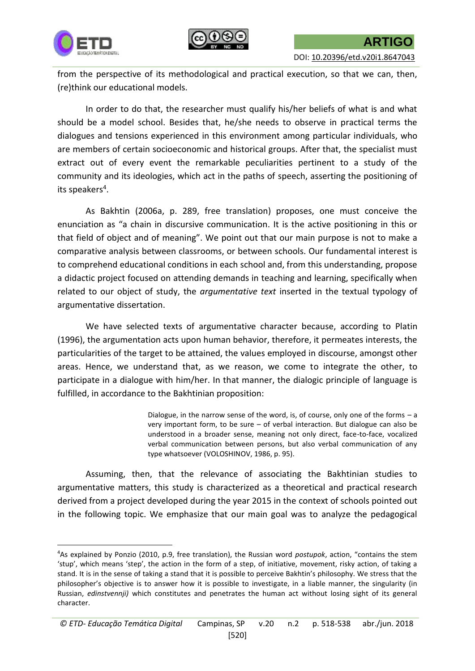



**.** 

DOI: [10.20396/etd.v20i1.8647043](http://dx.doi.org/10.20396/etd.v20i1.8647043)

from the perspective of its methodological and practical execution, so that we can, then, (re)think our educational models.

In order to do that, the researcher must qualify his/her beliefs of what is and what should be a model school. Besides that, he/she needs to observe in practical terms the dialogues and tensions experienced in this environment among particular individuals, who are members of certain socioeconomic and historical groups. After that, the specialist must extract out of every event the remarkable peculiarities pertinent to a study of the community and its ideologies, which act in the paths of speech, asserting the positioning of its speakers<sup>4</sup>.

As Bakhtin (2006a, p. 289, free translation) proposes, one must conceive the enunciation as "a chain in discursive communication. It is the active positioning in this or that field of object and of meaning". We point out that our main purpose is not to make a comparative analysis between classrooms, or between schools. Our fundamental interest is to comprehend educational conditions in each school and, from this understanding, propose a didactic project focused on attending demands in teaching and learning, specifically when related to our object of study, the *argumentative text* inserted in the textual typology of argumentative dissertation.

We have selected texts of argumentative character because, according to Platin (1996), the argumentation acts upon human behavior, therefore, it permeates interests, the particularities of the target to be attained, the values employed in discourse, amongst other areas. Hence, we understand that, as we reason, we come to integrate the other, to participate in a dialogue with him/her. In that manner, the dialogic principle of language is fulfilled, in accordance to the Bakhtinian proposition:

> Dialogue, in the narrow sense of the word, is, of course, only one of the forms  $-$  a very important form, to be sure – of verbal interaction. But dialogue can also be understood in a broader sense, meaning not only direct, face-to-face, vocalized verbal communication between persons, but also verbal communication of any type whatsoever (VOLOSHINOV, 1986, p. 95).

Assuming, then, that the relevance of associating the Bakhtinian studies to argumentative matters, this study is characterized as a theoretical and practical research derived from a project developed during the year 2015 in the context of schools pointed out in the following topic. We emphasize that our main goal was to analyze the pedagogical

<sup>4</sup>As explained by Ponzio (2010, p.9, free translation), the Russian word *postupok*, action, "contains the stem 'stup', which means 'step', the action in the form of a step, of initiative, movement, risky action, of taking a stand. It is in the sense of taking a stand that it is possible to perceive Bakhtin's philosophy. We stress that the philosopher's objective is to answer how it is possible to investigate, in a liable manner, the singularity (in Russian, *edinstvennji)* which constitutes and penetrates the human act without losing sight of its general character.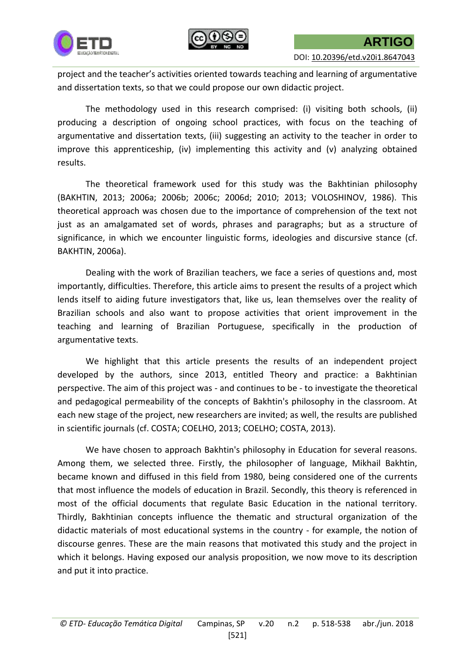

DOI: [10.20396/etd.v20i1.8647043](http://dx.doi.org/10.20396/etd.v20i1.8647043)

project and the teacher's activities oriented towards teaching and learning of argumentative and dissertation texts, so that we could propose our own didactic project.

The methodology used in this research comprised: (i) visiting both schools, (ii) producing a description of ongoing school practices, with focus on the teaching of argumentative and dissertation texts, (iii) suggesting an activity to the teacher in order to improve this apprenticeship, (iv) implementing this activity and (v) analyzing obtained results.

The theoretical framework used for this study was the Bakhtinian philosophy (BAKHTIN, 2013; 2006a; 2006b; 2006c; 2006d; 2010; 2013; VOLOSHINOV, 1986). This theoretical approach was chosen due to the importance of comprehension of the text not just as an amalgamated set of words, phrases and paragraphs; but as a structure of significance, in which we encounter linguistic forms, ideologies and discursive stance (cf. BAKHTIN, 2006a).

Dealing with the work of Brazilian teachers, we face a series of questions and, most importantly, difficulties. Therefore, this article aims to present the results of a project which lends itself to aiding future investigators that, like us, lean themselves over the reality of Brazilian schools and also want to propose activities that orient improvement in the teaching and learning of Brazilian Portuguese, specifically in the production of argumentative texts.

We highlight that this article presents the results of an independent project developed by the authors, since 2013, entitled Theory and practice: a Bakhtinian perspective. The aim of this project was - and continues to be - to investigate the theoretical and pedagogical permeability of the concepts of Bakhtin's philosophy in the classroom. At each new stage of the project, new researchers are invited; as well, the results are published in scientific journals (cf. COSTA; COELHO, 2013; COELHO; COSTA, 2013).

We have chosen to approach Bakhtin's philosophy in Education for several reasons. Among them, we selected three. Firstly, the philosopher of language, Mikhail Bakhtin, became known and diffused in this field from 1980, being considered one of the currents that most influence the models of education in Brazil. Secondly, this theory is referenced in most of the official documents that regulate Basic Education in the national territory. Thirdly, Bakhtinian concepts influence the thematic and structural organization of the didactic materials of most educational systems in the country - for example, the notion of discourse genres. These are the main reasons that motivated this study and the project in which it belongs. Having exposed our analysis proposition, we now move to its description and put it into practice.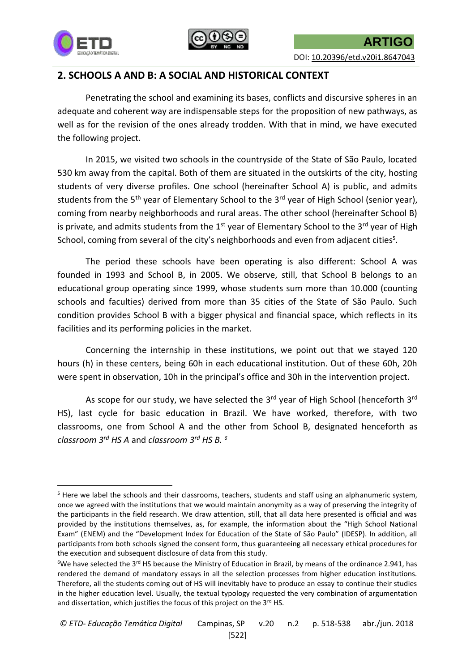



### **2. SCHOOLS A AND B: A SOCIAL AND HISTORICAL CONTEXT**

Penetrating the school and examining its bases, conflicts and discursive spheres in an adequate and coherent way are indispensable steps for the proposition of new pathways, as well as for the revision of the ones already trodden. With that in mind, we have executed the following project.

In 2015, we visited two schools in the countryside of the State of São Paulo, located 530 km away from the capital. Both of them are situated in the outskirts of the city, hosting students of very diverse profiles. One school (hereinafter School A) is public, and admits students from the 5<sup>th</sup> year of Elementary School to the 3<sup>rd</sup> year of High School (senior year), coming from nearby neighborhoods and rural areas. The other school (hereinafter School B) is private, and admits students from the  $1<sup>st</sup>$  year of Elementary School to the  $3<sup>rd</sup>$  year of High School, coming from several of the city's neighborhoods and even from adjacent cities<sup>5</sup>.

The period these schools have been operating is also different: School A was founded in 1993 and School B, in 2005. We observe, still, that School B belongs to an educational group operating since 1999, whose students sum more than 10.000 (counting schools and faculties) derived from more than 35 cities of the State of São Paulo. Such condition provides School B with a bigger physical and financial space, which reflects in its facilities and its performing policies in the market.

Concerning the internship in these institutions, we point out that we stayed 120 hours (h) in these centers, being 60h in each educational institution. Out of these 60h, 20h were spent in observation, 10h in the principal's office and 30h in the intervention project.

As scope for our study, we have selected the  $3<sup>rd</sup>$  year of High School (henceforth  $3<sup>rd</sup>$ HS), last cycle for basic education in Brazil. We have worked, therefore, with two classrooms, one from School A and the other from School B, designated henceforth as *classroom 3rd HS A* and *classroom 3rd HS B. 6*

**<sup>.</sup>** <sup>5</sup> Here we label the schools and their classrooms, teachers, students and staff using an alphanumeric system, once we agreed with the institutions that we would maintain anonymity as a way of preserving the integrity of the participants in the field research. We draw attention, still, that all data here presented is official and was provided by the institutions themselves, as, for example, the information about the "High School National Exam" (ENEM) and the "Development Index for Education of the State of São Paulo" (IDESP). In addition, all participants from both schools signed the consent form, thus guaranteeing all necessary ethical procedures for the execution and subsequent disclosure of data from this study.

 $6$ We have selected the 3<sup>rd</sup> HS because the Ministry of Education in Brazil, by means of the ordinance 2.941, has rendered the demand of mandatory essays in all the selection processes from higher education institutions. Therefore, all the students coming out of HS will inevitably have to produce an essay to continue their studies in the higher education level. Usually, the textual typology requested the very combination of argumentation and dissertation, which justifies the focus of this project on the  $3<sup>rd</sup>$  HS.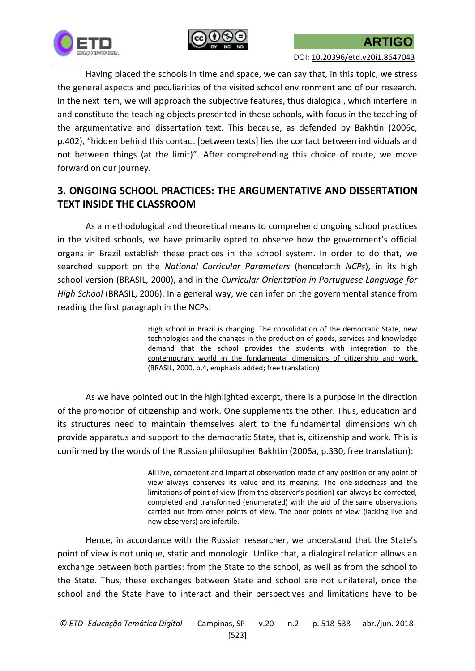



Having placed the schools in time and space, we can say that, in this topic, we stress the general aspects and peculiarities of the visited school environment and of our research. In the next item, we will approach the subjective features, thus dialogical, which interfere in and constitute the teaching objects presented in these schools, with focus in the teaching of the argumentative and dissertation text. This because, as defended by Bakhtin (2006c, p.402), "hidden behind this contact [between texts] lies the contact between individuals and not between things (at the limit)". After comprehending this choice of route, we move forward on our journey.

## **3. ONGOING SCHOOL PRACTICES: THE ARGUMENTATIVE AND DISSERTATION TEXT INSIDE THE CLASSROOM**

As a methodological and theoretical means to comprehend ongoing school practices in the visited schools, we have primarily opted to observe how the government's official organs in Brazil establish these practices in the school system. In order to do that, we searched support on the *National Curricular Parameters* (henceforth *NCPs*), in its high school version (BRASIL, 2000), and in the *Curricular Orientation in Portuguese Language for High School* (BRASIL, 2006). In a general way, we can infer on the governmental stance from reading the first paragraph in the NCPs:

> High school in Brazil is changing. The consolidation of the democratic State, new technologies and the changes in the production of goods, services and knowledge demand that the school provides the students with integration to the contemporary world in the fundamental dimensions of citizenship and work. (BRASIL, 2000, p.4, emphasis added; free translation)

As we have pointed out in the highlighted excerpt, there is a purpose in the direction of the promotion of citizenship and work. One supplements the other. Thus, education and its structures need to maintain themselves alert to the fundamental dimensions which provide apparatus and support to the democratic State, that is, citizenship and work. This is confirmed by the words of the Russian philosopher Bakhtin (2006a, p.330, free translation):

> All live, competent and impartial observation made of any position or any point of view always conserves its value and its meaning. The one-sidedness and the limitations of point of view (from the observer's position) can always be corrected, completed and transformed (enumerated) with the aid of the same observations carried out from other points of view. The poor points of view (lacking live and new observers) are infertile.

Hence, in accordance with the Russian researcher, we understand that the State's point of view is not unique, static and monologic. Unlike that, a dialogical relation allows an exchange between both parties: from the State to the school, as well as from the school to the State. Thus, these exchanges between State and school are not unilateral, once the school and the State have to interact and their perspectives and limitations have to be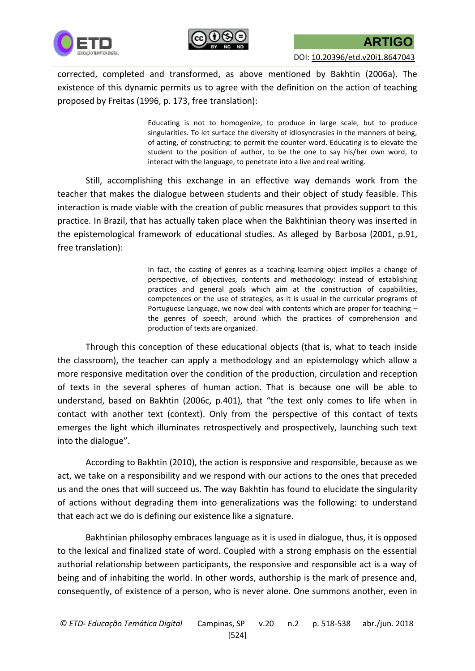



corrected, completed and transformed, as above mentioned by Bakhtin (2006a). The existence of this dynamic permits us to agree with the definition on the action of teaching proposed by Freitas (1996, p. 173, free translation):

> Educating is not to homogenize, to produce in large scale, but to produce singularities. To let surface the diversity of idiosyncrasies in the manners of being, of acting, of constructing: to permit the counter-word. Educating is to elevate the student to the position of author, to be the one to say his/her own word, to interact with the language, to penetrate into a live and real writing.

Still, accomplishing this exchange in an effective way demands work from the teacher that makes the dialogue between students and their object of study feasible. This interaction is made viable with the creation of public measures that provides support to this practice. In Brazil, that has actually taken place when the Bakhtinian theory was inserted in the epistemological framework of educational studies. As alleged by Barbosa (2001, p.91, free translation):

> In fact, the casting of genres as a teaching-learning object implies a change of perspective, of objectives, contents and methodology: instead of establishing practices and general goals which aim at the construction of capabilities, competences or the use of strategies, as it is usual in the curricular programs of Portuguese Language, we now deal with contents which are proper for teaching – the genres of speech, around which the practices of comprehension and production of texts are organized.

Through this conception of these educational objects (that is, what to teach inside the classroom), the teacher can apply a methodology and an epistemology which allow a more responsive meditation over the condition of the production, circulation and reception of texts in the several spheres of human action. That is because one will be able to understand, based on Bakhtin (2006c, p.401), that "the text only comes to life when in contact with another text (context). Only from the perspective of this contact of texts emerges the light which illuminates retrospectively and prospectively, launching such text into the dialogue".

According to Bakhtin (2010), the action is responsive and responsible, because as we act, we take on a responsibility and we respond with our actions to the ones that preceded us and the ones that will succeed us. The way Bakhtin has found to elucidate the singularity of actions without degrading them into generalizations was the following: to understand that each act we do is defining our existence like a signature.

Bakhtinian philosophy embraces language as it is used in dialogue, thus, it is opposed to the lexical and finalized state of word. Coupled with a strong emphasis on the essential authorial relationship between participants, the responsive and responsible act is a way of being and of inhabiting the world. In other words, authorship is the mark of presence and, consequently, of existence of a person, who is never alone. One summons another, even in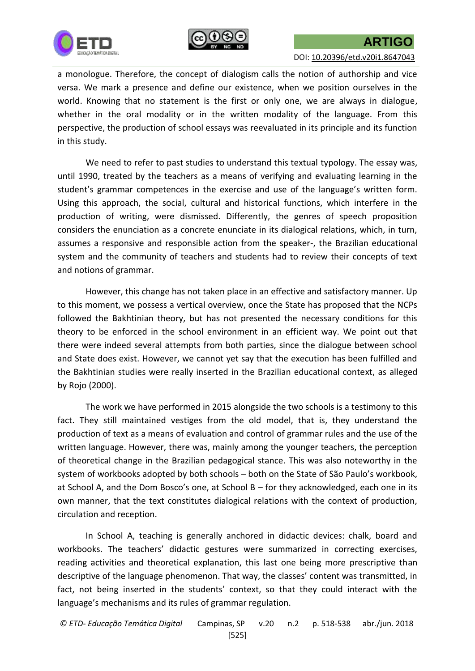



a monologue. Therefore, the concept of dialogism calls the notion of authorship and vice versa. We mark a presence and define our existence, when we position ourselves in the world. Knowing that no statement is the first or only one, we are always in dialogue, whether in the oral modality or in the written modality of the language. From this perspective, the production of school essays was reevaluated in its principle and its function in this study.

We need to refer to past studies to understand this textual typology. The essay was, until 1990, treated by the teachers as a means of verifying and evaluating learning in the student's grammar competences in the exercise and use of the language's written form. Using this approach, the social, cultural and historical functions, which interfere in the production of writing, were dismissed. Differently, the genres of speech proposition considers the enunciation as a concrete enunciate in its dialogical relations, which, in turn, assumes a responsive and responsible action from the speaker-, the Brazilian educational system and the community of teachers and students had to review their concepts of text and notions of grammar.

However, this change has not taken place in an effective and satisfactory manner. Up to this moment, we possess a vertical overview, once the State has proposed that the NCPs followed the Bakhtinian theory, but has not presented the necessary conditions for this theory to be enforced in the school environment in an efficient way. We point out that there were indeed several attempts from both parties, since the dialogue between school and State does exist. However, we cannot yet say that the execution has been fulfilled and the Bakhtinian studies were really inserted in the Brazilian educational context, as alleged by Rojo (2000).

The work we have performed in 2015 alongside the two schools is a testimony to this fact. They still maintained vestiges from the old model, that is, they understand the production of text as a means of evaluation and control of grammar rules and the use of the written language. However, there was, mainly among the younger teachers, the perception of theoretical change in the Brazilian pedagogical stance. This was also noteworthy in the system of workbooks adopted by both schools – both on the State of São Paulo's workbook, at School A, and the Dom Bosco's one, at School B – for they acknowledged, each one in its own manner, that the text constitutes dialogical relations with the context of production, circulation and reception.

In School A, teaching is generally anchored in didactic devices: chalk, board and workbooks. The teachers' didactic gestures were summarized in correcting exercises, reading activities and theoretical explanation, this last one being more prescriptive than descriptive of the language phenomenon. That way, the classes' content was transmitted, in fact, not being inserted in the students' context, so that they could interact with the language's mechanisms and its rules of grammar regulation.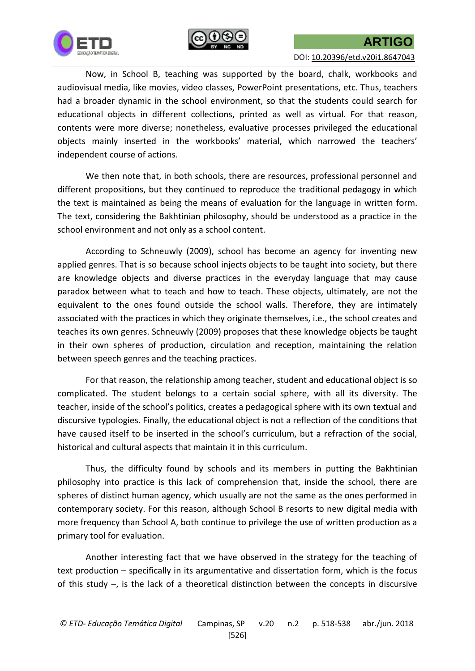



Now, in School B, teaching was supported by the board, chalk, workbooks and audiovisual media, like movies, video classes, PowerPoint presentations, etc. Thus, teachers had a broader dynamic in the school environment, so that the students could search for educational objects in different collections, printed as well as virtual. For that reason, contents were more diverse; nonetheless, evaluative processes privileged the educational objects mainly inserted in the workbooks' material, which narrowed the teachers' independent course of actions.

We then note that, in both schools, there are resources, professional personnel and different propositions, but they continued to reproduce the traditional pedagogy in which the text is maintained as being the means of evaluation for the language in written form. The text, considering the Bakhtinian philosophy, should be understood as a practice in the school environment and not only as a school content.

According to Schneuwly (2009), school has become an agency for inventing new applied genres. That is so because school injects objects to be taught into society, but there are knowledge objects and diverse practices in the everyday language that may cause paradox between what to teach and how to teach. These objects, ultimately, are not the equivalent to the ones found outside the school walls. Therefore, they are intimately associated with the practices in which they originate themselves, i.e., the school creates and teaches its own genres. Schneuwly (2009) proposes that these knowledge objects be taught in their own spheres of production, circulation and reception, maintaining the relation between speech genres and the teaching practices.

For that reason, the relationship among teacher, student and educational object is so complicated. The student belongs to a certain social sphere, with all its diversity. The teacher, inside of the school's politics, creates a pedagogical sphere with its own textual and discursive typologies. Finally, the educational object is not a reflection of the conditions that have caused itself to be inserted in the school's curriculum, but a refraction of the social, historical and cultural aspects that maintain it in this curriculum.

Thus, the difficulty found by schools and its members in putting the Bakhtinian philosophy into practice is this lack of comprehension that, inside the school, there are spheres of distinct human agency, which usually are not the same as the ones performed in contemporary society. For this reason, although School B resorts to new digital media with more frequency than School A, both continue to privilege the use of written production as a primary tool for evaluation.

Another interesting fact that we have observed in the strategy for the teaching of text production – specifically in its argumentative and dissertation form, which is the focus of this study –, is the lack of a theoretical distinction between the concepts in discursive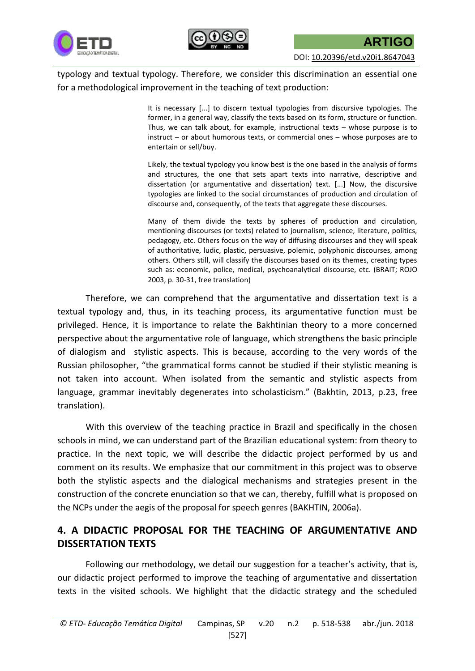



typology and textual typology. Therefore, we consider this discrimination an essential one for a methodological improvement in the teaching of text production:

> It is necessary [...] to discern textual typologies from discursive typologies. The former, in a general way, classify the texts based on its form, structure or function. Thus, we can talk about, for example, instructional texts – whose purpose is to instruct – or about humorous texts, or commercial ones – whose purposes are to entertain or sell/buy.

> Likely, the textual typology you know best is the one based in the analysis of forms and structures, the one that sets apart texts into narrative, descriptive and dissertation (or argumentative and dissertation) text. [...] Now, the discursive typologies are linked to the social circumstances of production and circulation of discourse and, consequently, of the texts that aggregate these discourses.

> Many of them divide the texts by spheres of production and circulation, mentioning discourses (or texts) related to journalism, science, literature, politics, pedagogy, etc. Others focus on the way of diffusing discourses and they will speak of authoritative, ludic, plastic, persuasive, polemic, polyphonic discourses, among others. Others still, will classify the discourses based on its themes, creating types such as: economic, police, medical, psychoanalytical discourse, etc. (BRAIT; ROJO 2003, p. 30-31, free translation)

Therefore, we can comprehend that the argumentative and dissertation text is a textual typology and, thus, in its teaching process, its argumentative function must be privileged. Hence, it is importance to relate the Bakhtinian theory to a more concerned perspective about the argumentative role of language, which strengthens the basic principle of dialogism and stylistic aspects. This is because, according to the very words of the Russian philosopher, "the grammatical forms cannot be studied if their stylistic meaning is not taken into account. When isolated from the semantic and stylistic aspects from language, grammar inevitably degenerates into scholasticism." (Bakhtin, 2013, p.23, free translation).

With this overview of the teaching practice in Brazil and specifically in the chosen schools in mind, we can understand part of the Brazilian educational system: from theory to practice. In the next topic, we will describe the didactic project performed by us and comment on its results. We emphasize that our commitment in this project was to observe both the stylistic aspects and the dialogical mechanisms and strategies present in the construction of the concrete enunciation so that we can, thereby, fulfill what is proposed on the NCPs under the aegis of the proposal for speech genres (BAKHTIN, 2006a).

## **4. A DIDACTIC PROPOSAL FOR THE TEACHING OF ARGUMENTATIVE AND DISSERTATION TEXTS**

Following our methodology, we detail our suggestion for a teacher's activity, that is, our didactic project performed to improve the teaching of argumentative and dissertation texts in the visited schools. We highlight that the didactic strategy and the scheduled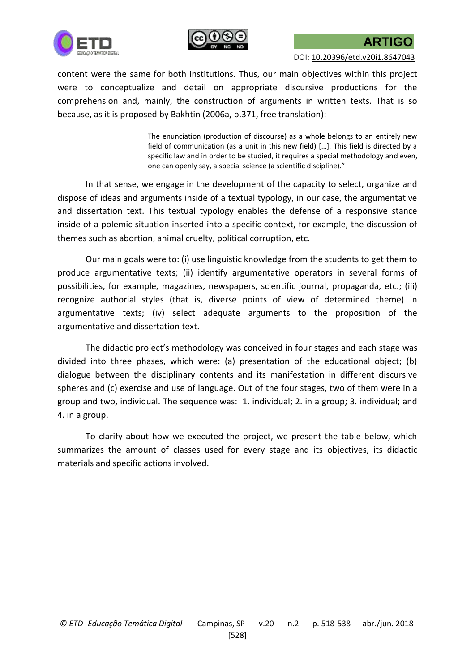



content were the same for both institutions. Thus, our main objectives within this project were to conceptualize and detail on appropriate discursive productions for the comprehension and, mainly, the construction of arguments in written texts. That is so because, as it is proposed by Bakhtin (2006a, p.371, free translation):

> The enunciation (production of discourse) as a whole belongs to an entirely new field of communication (as a unit in this new field) […]. This field is directed by a specific law and in order to be studied, it requires a special methodology and even, one can openly say, a special science (a scientific discipline)."

In that sense, we engage in the development of the capacity to select, organize and dispose of ideas and arguments inside of a textual typology, in our case, the argumentative and dissertation text. This textual typology enables the defense of a responsive stance inside of a polemic situation inserted into a specific context, for example, the discussion of themes such as abortion, animal cruelty, political corruption, etc.

Our main goals were to: (i) use linguistic knowledge from the students to get them to produce argumentative texts; (ii) identify argumentative operators in several forms of possibilities, for example, magazines, newspapers, scientific journal, propaganda, etc.; (iii) recognize authorial styles (that is, diverse points of view of determined theme) in argumentative texts; (iv) select adequate arguments to the proposition of the argumentative and dissertation text.

The didactic project's methodology was conceived in four stages and each stage was divided into three phases, which were: (a) presentation of the educational object; (b) dialogue between the disciplinary contents and its manifestation in different discursive spheres and (c) exercise and use of language. Out of the four stages, two of them were in a group and two, individual. The sequence was: 1. individual; 2. in a group; 3. individual; and 4. in a group.

To clarify about how we executed the project, we present the table below, which summarizes the amount of classes used for every stage and its objectives, its didactic materials and specific actions involved.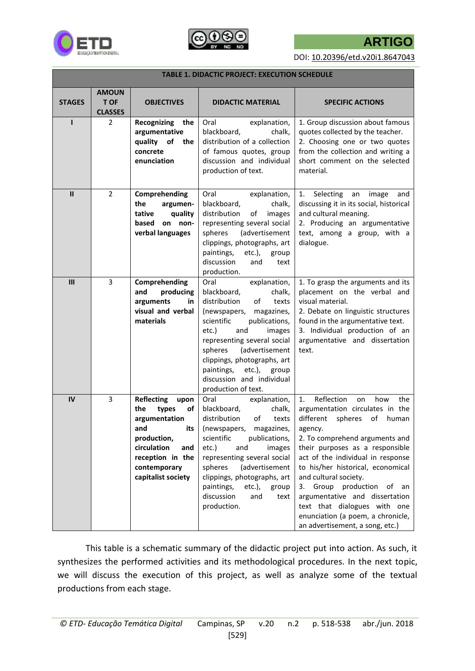





DOI: [10.20396/etd.v20i1.8647043](http://dx.doi.org/10.20396/etd.v20i1.8647043)

| <b>TABLE 1. DIDACTIC PROJECT: EXECUTION SCHEDULE</b> |                                               |                                                                                                                                                                               |                                                                                                                                                                                                                                                                                                                                                        |                                                                                                                                                                                                                                                                                                                                                                                                                                                                             |
|------------------------------------------------------|-----------------------------------------------|-------------------------------------------------------------------------------------------------------------------------------------------------------------------------------|--------------------------------------------------------------------------------------------------------------------------------------------------------------------------------------------------------------------------------------------------------------------------------------------------------------------------------------------------------|-----------------------------------------------------------------------------------------------------------------------------------------------------------------------------------------------------------------------------------------------------------------------------------------------------------------------------------------------------------------------------------------------------------------------------------------------------------------------------|
| <b>STAGES</b>                                        | <b>AMOUN</b><br><b>T OF</b><br><b>CLASSES</b> | <b>OBJECTIVES</b>                                                                                                                                                             | <b>DIDACTIC MATERIAL</b>                                                                                                                                                                                                                                                                                                                               | <b>SPECIFIC ACTIONS</b>                                                                                                                                                                                                                                                                                                                                                                                                                                                     |
| ı                                                    | $\overline{2}$                                | Recognizing<br>the<br>argumentative<br>quality<br>of<br>the<br>concrete<br>enunciation                                                                                        | Oral<br>explanation,<br>blackboard,<br>chalk,<br>distribution of a collection<br>of famous quotes, group<br>discussion and individual<br>production of text.                                                                                                                                                                                           | 1. Group discussion about famous<br>quotes collected by the teacher.<br>2. Choosing one or two quotes<br>from the collection and writing a<br>short comment on the selected<br>material.                                                                                                                                                                                                                                                                                    |
| $\mathbf{II}$                                        | $\overline{2}$                                | Comprehending<br>the<br>argumen-<br>tative<br>quality<br>based<br>on non-<br>verbal languages                                                                                 | Oral<br>explanation,<br>blackboard,<br>chalk,<br>distribution<br>of<br>images<br>representing several social<br>spheres<br>(advertisement<br>clippings, photographs, art<br>etc.),<br>paintings,<br>group<br>discussion<br>and<br>text<br>production.                                                                                                  | Selecting<br>image<br>1.<br>an<br>and<br>discussing it in its social, historical<br>and cultural meaning.<br>2. Producing an argumentative<br>text, among a group, with a<br>dialogue.                                                                                                                                                                                                                                                                                      |
| III                                                  | 3                                             | Comprehending<br>and<br>producing<br>arguments<br>in<br>visual and verbal<br>materials                                                                                        | Oral<br>explanation,<br>blackboard,<br>chalk,<br>distribution<br>of<br>texts<br>(newspapers,<br>magazines,<br>scientific<br>publications,<br>etc.)<br>and<br>images<br>representing several social<br>spheres<br>(advertisement<br>clippings, photographs, art<br>paintings,<br>$etc.$ ),<br>group<br>discussion and individual<br>production of text. | 1. To grasp the arguments and its<br>placement on the verbal and<br>visual material.<br>2. Debate on linguistic structures<br>found in the argumentative text.<br>3. Individual production of an<br>argumentative and dissertation<br>text.                                                                                                                                                                                                                                 |
| IV                                                   | 3                                             | <b>Reflecting</b><br>upon<br>the<br>types<br>of<br>argumentation<br>its<br>and<br>production,<br>circulation<br>and<br>reception in the<br>contemporary<br>capitalist society | Oral<br>explanation,<br>blackboard,<br>chalk,<br>distribution<br>of<br>texts<br>(newspapers, magazines,<br>scientific<br>publications,<br>etc.)<br>and<br>images<br>representing several social<br>spheres<br>(advertisement<br>clippings, photographs, art<br>$etc.$ ),<br>paintings,<br>group<br>discussion<br>and<br>text<br>production.            | Reflection<br>the<br>1.<br>on<br>how<br>argumentation circulates in the<br>different<br>spheres<br>of<br>human<br>agency.<br>2. To comprehend arguments and<br>their purposes as a responsible<br>act of the individual in response<br>to his/her historical, economical<br>and cultural society.<br>3. Group production<br>of an<br>argumentative and dissertation<br>text that dialogues with one<br>enunciation (a poem, a chronicle,<br>an advertisement, a song, etc.) |

This table is a schematic summary of the didactic project put into action. As such, it synthesizes the performed activities and its methodological procedures. In the next topic, we will discuss the execution of this project, as well as analyze some of the textual productions from each stage.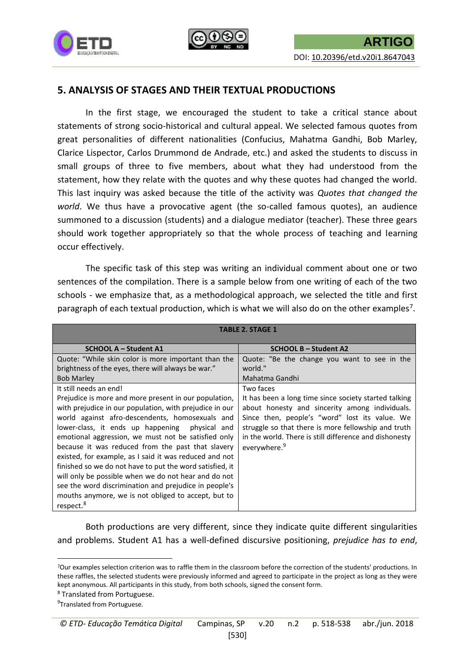



### **5. ANALYSIS OF STAGES AND THEIR TEXTUAL PRODUCTIONS**

In the first stage, we encouraged the student to take a critical stance about statements of strong socio-historical and cultural appeal. We selected famous quotes from great personalities of different nationalities (Confucius, Mahatma Gandhi, Bob Marley, Clarice Lispector, Carlos Drummond de Andrade, etc.) and asked the students to discuss in small groups of three to five members, about what they had understood from the statement, how they relate with the quotes and why these quotes had changed the world. This last inquiry was asked because the title of the activity was *Quotes that changed the world*. We thus have a provocative agent (the so-called famous quotes), an audience summoned to a discussion (students) and a dialogue mediator (teacher). These three gears should work together appropriately so that the whole process of teaching and learning occur effectively.

The specific task of this step was writing an individual comment about one or two sentences of the compilation. There is a sample below from one writing of each of the two schools - we emphasize that, as a methodological approach, we selected the title and first paragraph of each textual production, which is what we will also do on the other examples<sup>7</sup>.

| <b>TABLE 2. STAGE 1</b>                                                                                                                                                                                                                                                                                                                                                                                                                                                                                                                                                                                                                                                               |                                                                                                                                                                                                                                                                                                                     |  |  |
|---------------------------------------------------------------------------------------------------------------------------------------------------------------------------------------------------------------------------------------------------------------------------------------------------------------------------------------------------------------------------------------------------------------------------------------------------------------------------------------------------------------------------------------------------------------------------------------------------------------------------------------------------------------------------------------|---------------------------------------------------------------------------------------------------------------------------------------------------------------------------------------------------------------------------------------------------------------------------------------------------------------------|--|--|
| <b>SCHOOL A - Student A1</b>                                                                                                                                                                                                                                                                                                                                                                                                                                                                                                                                                                                                                                                          | <b>SCHOOL B – Student A2</b>                                                                                                                                                                                                                                                                                        |  |  |
| Quote: "While skin color is more important than the<br>brightness of the eyes, there will always be war."<br><b>Bob Marley</b>                                                                                                                                                                                                                                                                                                                                                                                                                                                                                                                                                        | Quote: "Be the change you want to see in the<br>world."<br>Mahatma Gandhi                                                                                                                                                                                                                                           |  |  |
| It still needs an end!<br>Prejudice is more and more present in our population,<br>with prejudice in our population, with prejudice in our<br>world against afro-descendents, homosexuals and<br>lower-class, it ends up happening<br>physical and<br>emotional aggression, we must not be satisfied only<br>because it was reduced from the past that slavery<br>existed, for example, as I said it was reduced and not<br>finished so we do not have to put the word satisfied, it<br>will only be possible when we do not hear and do not<br>see the word discrimination and prejudice in people's<br>mouths anymore, we is not obliged to accept, but to<br>respect. <sup>8</sup> | Two faces<br>It has been a long time since society started talking<br>about honesty and sincerity among individuals.<br>Since then, people's "word" lost its value. We<br>struggle so that there is more fellowship and truth<br>in the world. There is still difference and dishonesty<br>everywhere. <sup>9</sup> |  |  |

Both productions are very different, since they indicate quite different singularities and problems. Student A1 has a well-defined discursive positioning, *prejudice has to end*,

**.** 

<sup>7</sup>Our examples selection criterion was to raffle them in the classroom before the correction of the students' productions. In these raffles, the selected students were previously informed and agreed to participate in the project as long as they were kept anonymous. All participants in this study, from both schools, signed the consent form.

<sup>8</sup> Translated from Portuguese.

<sup>&</sup>lt;sup>9</sup>Translated from Portuguese.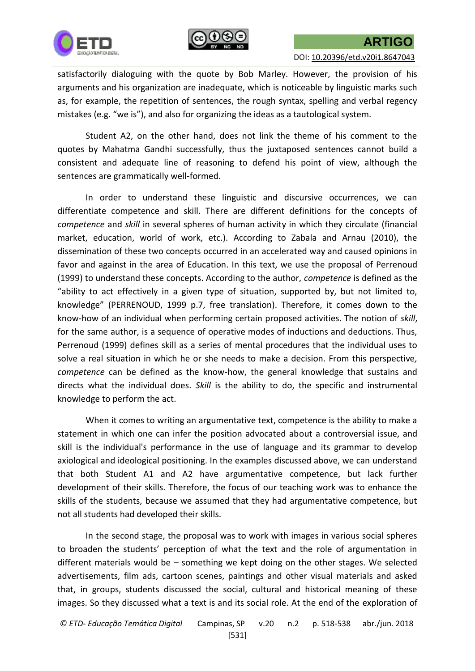



satisfactorily dialoguing with the quote by Bob Marley. However, the provision of his arguments and his organization are inadequate, which is noticeable by linguistic marks such as, for example, the repetition of sentences, the rough syntax, spelling and verbal regency mistakes (e.g. "we is"), and also for organizing the ideas as a tautological system.

Student A2, on the other hand, does not link the theme of his comment to the quotes by Mahatma Gandhi successfully, thus the juxtaposed sentences cannot build a consistent and adequate line of reasoning to defend his point of view, although the sentences are grammatically well-formed.

In order to understand these linguistic and discursive occurrences, we can differentiate competence and skill. There are different definitions for the concepts of *competence* and *skill* in several spheres of human activity in which they circulate (financial market, education, world of work, etc.). According to Zabala and Arnau (2010), the dissemination of these two concepts occurred in an accelerated way and caused opinions in favor and against in the area of Education. In this text, we use the proposal of Perrenoud (1999) to understand these concepts. According to the author, *competence* is defined as the "ability to act effectively in a given type of situation, supported by, but not limited to, knowledge" (PERRENOUD, 1999 p.7, free translation). Therefore, it comes down to the know-how of an individual when performing certain proposed activities. The notion of *skill*, for the same author, is a sequence of operative modes of inductions and deductions. Thus, Perrenoud (1999) defines skill as a series of mental procedures that the individual uses to solve a real situation in which he or she needs to make a decision. From this perspective*, competence* can be defined as the know-how, the general knowledge that sustains and directs what the individual does. *Skill* is the ability to do, the specific and instrumental knowledge to perform the act.

When it comes to writing an argumentative text, competence is the ability to make a statement in which one can infer the position advocated about a controversial issue, and skill is the individual's performance in the use of language and its grammar to develop axiological and ideological positioning. In the examples discussed above, we can understand that both Student A1 and A2 have argumentative competence, but lack further development of their skills. Therefore, the focus of our teaching work was to enhance the skills of the students, because we assumed that they had argumentative competence, but not all students had developed their skills.

In the second stage, the proposal was to work with images in various social spheres to broaden the students' perception of what the text and the role of argumentation in different materials would be – something we kept doing on the other stages. We selected advertisements, film ads, cartoon scenes, paintings and other visual materials and asked that, in groups, students discussed the social, cultural and historical meaning of these images. So they discussed what a text is and its social role. At the end of the exploration of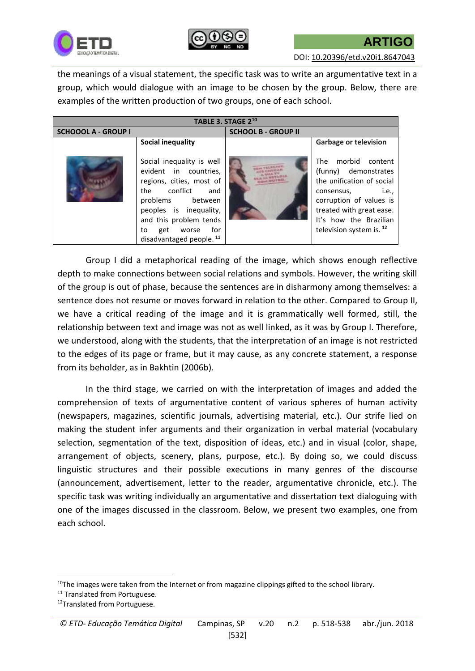



DOI: [10.20396/etd.v20i1.8647043](http://dx.doi.org/10.20396/etd.v20i1.8647043)

the meanings of a visual statement, the specific task was to write an argumentative text in a group, which would dialogue with an image to be chosen by the group. Below, there are examples of the written production of two groups, one of each school.

| TABLE 3. STAGE 2 <sup>10</sup> |                                                                                                                                                                                                                                        |                            |                                                                                                                                                                                                                                                                   |  |  |
|--------------------------------|----------------------------------------------------------------------------------------------------------------------------------------------------------------------------------------------------------------------------------------|----------------------------|-------------------------------------------------------------------------------------------------------------------------------------------------------------------------------------------------------------------------------------------------------------------|--|--|
| <b>SCHOOOL A - GROUP I</b>     |                                                                                                                                                                                                                                        | <b>SCHOOL B - GROUP II</b> |                                                                                                                                                                                                                                                                   |  |  |
|                                | <b>Social inequality</b><br>Social inequality is well<br>evident in countries,<br>regions, cities, most of<br>the conflict<br>and<br>problems between<br>peoples is inequality,<br>and this problem tends<br>for<br>get<br>worse<br>to |                            | <b>Garbage or television</b><br>morbid content<br>The<br>(funny) demonstrates<br>the unification of social<br><i>i.e.</i> ,<br>consensus,<br>corruption of values is<br>treated with great ease.<br>It's how the Brazilian<br>television system is. <sup>12</sup> |  |  |
|                                | disadvantaged people. <sup>11</sup>                                                                                                                                                                                                    |                            |                                                                                                                                                                                                                                                                   |  |  |

Group I did a metaphorical reading of the image, which shows enough reflective depth to make connections between social relations and symbols. However, the writing skill of the group is out of phase, because the sentences are in disharmony among themselves: a sentence does not resume or moves forward in relation to the other. Compared to Group II, we have a critical reading of the image and it is grammatically well formed, still, the relationship between text and image was not as well linked, as it was by Group I. Therefore, we understood, along with the students, that the interpretation of an image is not restricted to the edges of its page or frame, but it may cause, as any concrete statement, a response from its beholder, as in Bakhtin (2006b).

In the third stage, we carried on with the interpretation of images and added the comprehension of texts of argumentative content of various spheres of human activity (newspapers, magazines, scientific journals, advertising material, etc.). Our strife lied on making the student infer arguments and their organization in verbal material (vocabulary selection, segmentation of the text, disposition of ideas, etc.) and in visual (color, shape, arrangement of objects, scenery, plans, purpose, etc.). By doing so, we could discuss linguistic structures and their possible executions in many genres of the discourse (announcement, advertisement, letter to the reader, argumentative chronicle, etc.). The specific task was writing individually an argumentative and dissertation text dialoguing with one of the images discussed in the classroom. Below, we present two examples, one from each school.

**.** 

 $10$ The images were taken from the Internet or from magazine clippings gifted to the school library.

<sup>&</sup>lt;sup>11</sup> Translated from Portuguese.

<sup>&</sup>lt;sup>12</sup>Translated from Portuguese.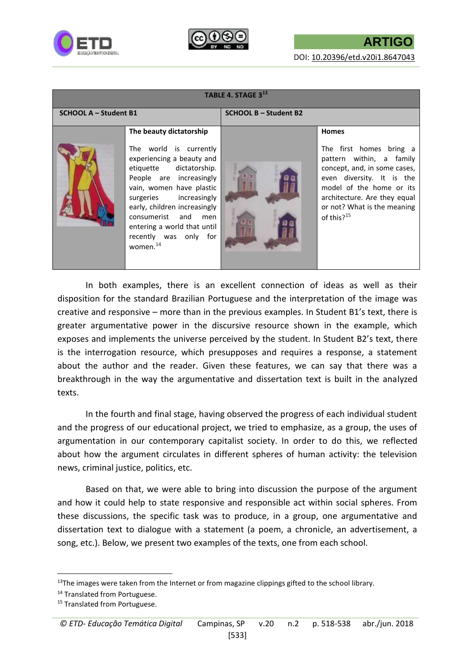



| TABLE 4. STAGE $3^{13}$      |                                                                                                                                                                                                                                                                                                                                   |                              |                                                                                                                                                                                                                                              |  |  |
|------------------------------|-----------------------------------------------------------------------------------------------------------------------------------------------------------------------------------------------------------------------------------------------------------------------------------------------------------------------------------|------------------------------|----------------------------------------------------------------------------------------------------------------------------------------------------------------------------------------------------------------------------------------------|--|--|
| <b>SCHOOL A – Student B1</b> |                                                                                                                                                                                                                                                                                                                                   | <b>SCHOOL B - Student B2</b> |                                                                                                                                                                                                                                              |  |  |
|                              | The beauty dictatorship<br>The world is currently<br>experiencing a beauty and<br>etiquette dictatorship.<br>People are increasingly<br>vain, women have plastic<br>surgeries increasingly<br>early, children increasingly<br>consumerist and men<br>entering a world that until<br>recently was only for<br>women. <sup>14</sup> |                              | <b>Homes</b><br>The first homes bring a<br>pattern within, a family<br>concept, and, in some cases,<br>even diversity. It is the<br>model of the home or its<br>architecture. Are they equal<br>or not? What is the meaning<br>of this? $15$ |  |  |

In both examples, there is an excellent connection of ideas as well as their disposition for the standard Brazilian Portuguese and the interpretation of the image was creative and responsive – more than in the previous examples. In Student B1's text, there is greater argumentative power in the discursive resource shown in the example, which exposes and implements the universe perceived by the student. In Student B2's text, there is the interrogation resource, which presupposes and requires a response, a statement about the author and the reader. Given these features, we can say that there was a breakthrough in the way the argumentative and dissertation text is built in the analyzed texts.

In the fourth and final stage, having observed the progress of each individual student and the progress of our educational project, we tried to emphasize, as a group, the uses of argumentation in our contemporary capitalist society. In order to do this, we reflected about how the argument circulates in different spheres of human activity: the television news, criminal justice, politics, etc.

Based on that, we were able to bring into discussion the purpose of the argument and how it could help to state responsive and responsible act within social spheres. From these discussions, the specific task was to produce, in a group, one argumentative and dissertation text to dialogue with a statement (a poem, a chronicle, an advertisement, a song, etc.). Below, we present two examples of the texts, one from each school.

1

 $13$ The images were taken from the Internet or from magazine clippings gifted to the school library.

<sup>&</sup>lt;sup>14</sup> Translated from Portuguese.

<sup>&</sup>lt;sup>15</sup> Translated from Portuguese.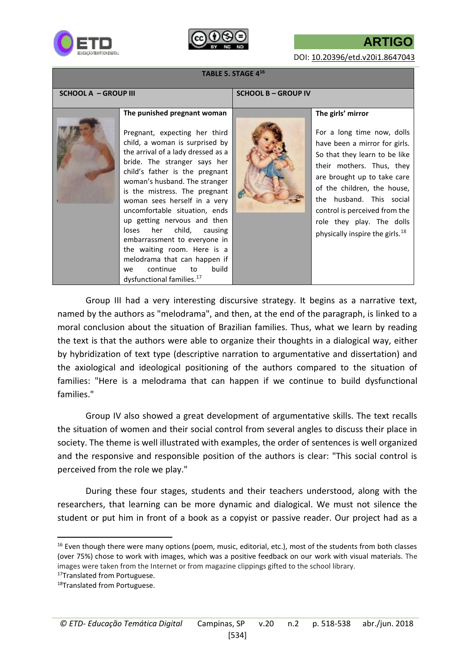



**ARTIGO**

DOI: [10.20396/etd.v20i1.8647043](http://dx.doi.org/10.20396/etd.v20i1.8647043)

#### **TABLE 5. STAGE 4<sup>16</sup>**

| <b>SCHOOL A - GROUP III</b> |                                                                                                                                                                                                                                                                                                                                                                                                                                                                                                                                                                                  | <b>SCHOOL B - GROUP IV</b> |                                                                                                                                                                                                                                                                                                                                                       |
|-----------------------------|----------------------------------------------------------------------------------------------------------------------------------------------------------------------------------------------------------------------------------------------------------------------------------------------------------------------------------------------------------------------------------------------------------------------------------------------------------------------------------------------------------------------------------------------------------------------------------|----------------------------|-------------------------------------------------------------------------------------------------------------------------------------------------------------------------------------------------------------------------------------------------------------------------------------------------------------------------------------------------------|
|                             | The punished pregnant woman<br>Pregnant, expecting her third<br>child, a woman is surprised by<br>the arrival of a lady dressed as a<br>bride. The stranger says her<br>child's father is the pregnant<br>woman's husband. The stranger<br>is the mistress. The pregnant<br>woman sees herself in a very<br>uncomfortable situation, ends<br>up getting nervous and then<br>her child, causing<br>loses<br>embarrassment to everyone in<br>the waiting room. Here is a<br>melodrama that can happen if<br>build<br>continue<br>to<br>we<br>dysfunctional families. <sup>17</sup> |                            | The girls' mirror<br>For a long time now, dolls<br>have been a mirror for girls.<br>So that they learn to be like<br>their mothers. Thus, they<br>are brought up to take care<br>of the children, the house,<br>the husband. This social<br>control is perceived from the<br>role they play. The dolls<br>physically inspire the girls. <sup>18</sup> |
|                             |                                                                                                                                                                                                                                                                                                                                                                                                                                                                                                                                                                                  |                            |                                                                                                                                                                                                                                                                                                                                                       |

Group III had a very interesting discursive strategy. It begins as a narrative text, named by the authors as "melodrama", and then, at the end of the paragraph, is linked to a moral conclusion about the situation of Brazilian families. Thus, what we learn by reading the text is that the authors were able to organize their thoughts in a dialogical way, either by hybridization of text type (descriptive narration to argumentative and dissertation) and the axiological and ideological positioning of the authors compared to the situation of families: "Here is a melodrama that can happen if we continue to build dysfunctional families."

Group IV also showed a great development of argumentative skills. The text recalls the situation of women and their social control from several angles to discuss their place in society. The theme is well illustrated with examples, the order of sentences is well organized and the responsive and responsible position of the authors is clear: "This social control is perceived from the role we play."

During these four stages, students and their teachers understood, along with the researchers, that learning can be more dynamic and dialogical. We must not silence the student or put him in front of a book as a copyist or passive reader. Our project had as a

**.** 

<sup>&</sup>lt;sup>16</sup> Even though there were many options (poem, music, editorial, etc.), most of the students from both classes (over 75%) chose to work with images, which was a positive feedback on our work with visual materials. The images were taken from the Internet or from magazine clippings gifted to the school library.

<sup>17</sup>Translated from Portuguese.

<sup>18</sup>Translated from Portuguese.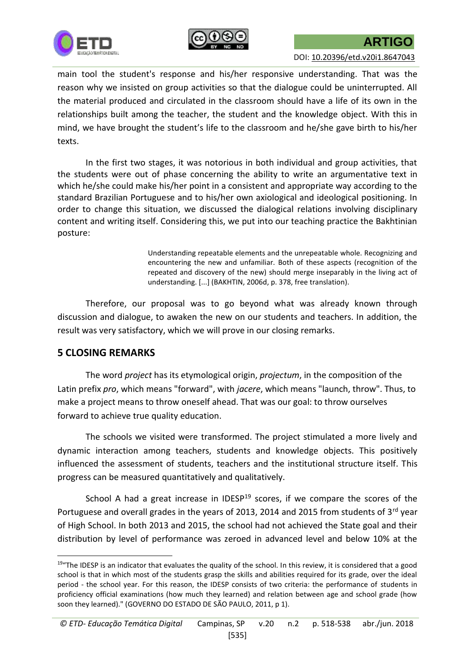



main tool the student's response and his/her responsive understanding. That was the reason why we insisted on group activities so that the dialogue could be uninterrupted. All the material produced and circulated in the classroom should have a life of its own in the relationships built among the teacher, the student and the knowledge object. With this in mind, we have brought the student's life to the classroom and he/she gave birth to his/her texts.

In the first two stages, it was notorious in both individual and group activities, that the students were out of phase concerning the ability to write an argumentative text in which he/she could make his/her point in a consistent and appropriate way according to the standard Brazilian Portuguese and to his/her own axiological and ideological positioning. In order to change this situation, we discussed the dialogical relations involving disciplinary content and writing itself. Considering this, we put into our teaching practice the Bakhtinian posture:

> Understanding repeatable elements and the unrepeatable whole. Recognizing and encountering the new and unfamiliar. Both of these aspects (recognition of the repeated and discovery of the new) should merge inseparably in the living act of understanding. [...] (BAKHTIN, 2006d, p. 378, free translation).

Therefore, our proposal was to go beyond what was already known through discussion and dialogue, to awaken the new on our students and teachers. In addition, the result was very satisfactory, which we will prove in our closing remarks.

## **5 CLOSING REMARKS**

**.** 

The word *project* has its etymological origin, *projectum*, in the composition of the Latin prefix *pro*, which means "forward", with *jacere*, which means "launch, throw". Thus, to make a project means to throw oneself ahead. That was our goal: to throw ourselves forward to achieve true quality education.

The schools we visited were transformed. The project stimulated a more lively and dynamic interaction among teachers, students and knowledge objects. This positively influenced the assessment of students, teachers and the institutional structure itself. This progress can be measured quantitatively and qualitatively.

School A had a great increase in IDESP $19$  scores, if we compare the scores of the Portuguese and overall grades in the years of 2013, 2014 and 2015 from students of 3rd year of High School. In both 2013 and 2015, the school had not achieved the State goal and their distribution by level of performance was zeroed in advanced level and below 10% at the

<sup>&</sup>lt;sup>19</sup>"The IDESP is an indicator that evaluates the quality of the school. In this review, it is considered that a good school is that in which most of the students grasp the skills and abilities required for its grade, over the ideal period - the school year. For this reason, the IDESP consists of two criteria: the performance of students in proficiency official examinations (how much they learned) and relation between age and school grade (how soon they learned)." (GOVERNO DO ESTADO DE SÃO PAULO, 2011, p 1).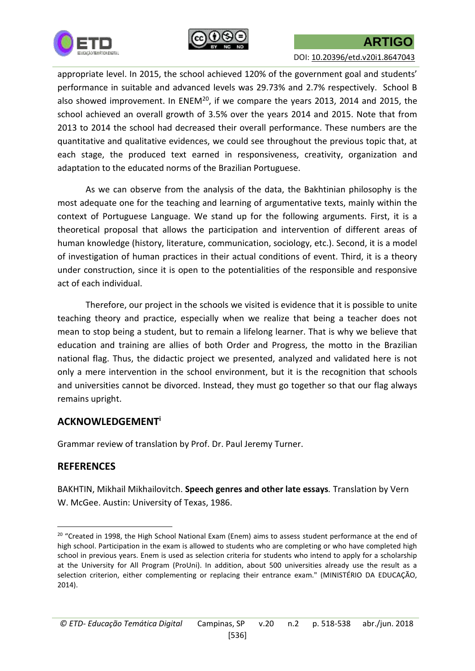



appropriate level. In 2015, the school achieved 120% of the government goal and students' performance in suitable and advanced levels was 29.73% and 2.7% respectively. School B also showed improvement. In ENEM<sup>20</sup>, if we compare the years 2013, 2014 and 2015, the school achieved an overall growth of 3.5% over the years 2014 and 2015. Note that from 2013 to 2014 the school had decreased their overall performance. These numbers are the quantitative and qualitative evidences, we could see throughout the previous topic that, at each stage, the produced text earned in responsiveness, creativity, organization and adaptation to the educated norms of the Brazilian Portuguese.

As we can observe from the analysis of the data, the Bakhtinian philosophy is the most adequate one for the teaching and learning of argumentative texts, mainly within the context of Portuguese Language. We stand up for the following arguments. First, it is a theoretical proposal that allows the participation and intervention of different areas of human knowledge (history, literature, communication, sociology, etc.). Second, it is a model of investigation of human practices in their actual conditions of event. Third, it is a theory under construction, since it is open to the potentialities of the responsible and responsive act of each individual.

Therefore, our project in the schools we visited is evidence that it is possible to unite teaching theory and practice, especially when we realize that being a teacher does not mean to stop being a student, but to remain a lifelong learner. That is why we believe that education and training are allies of both Order and Progress, the motto in the Brazilian national flag. Thus, the didactic project we presented, analyzed and validated here is not only a mere intervention in the school environment, but it is the recognition that schools and universities cannot be divorced. Instead, they must go together so that our flag always remains upright.

### **ACKNOWLEDGEMENT<sup>i</sup>**

Grammar review of translation by Prof. Dr. Paul Jeremy Turner.

## **REFERENCES**

 $\overline{a}$ 

BAKHTIN, Mikhail Mikhailovitch. **Speech genres and other late essays***.* Translation by Vern W. McGee. Austin: University of Texas, 1986.

<sup>&</sup>lt;sup>20</sup> "Created in 1998, the High School National Exam (Enem) aims to assess student performance at the end of high school. Participation in the exam is allowed to students who are completing or who have completed high school in previous years. Enem is used as selection criteria for students who intend to apply for a scholarship at the University for All Program (ProUni). In addition, about 500 universities already use the result as a selection criterion, either complementing or replacing their entrance exam." (MINISTÉRIO DA EDUCAÇÃO, 2014).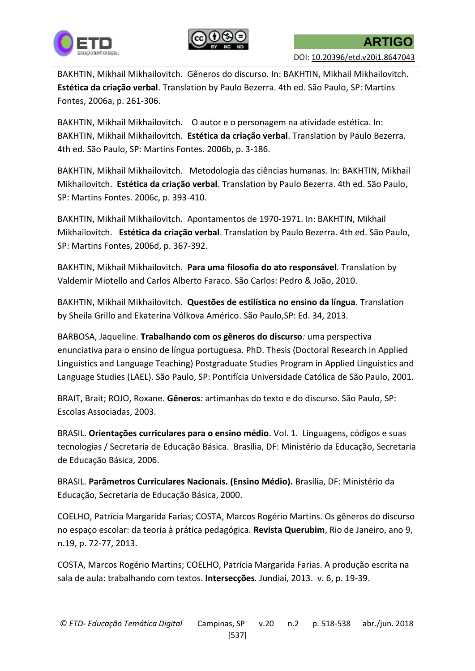



BAKHTIN, Mikhail Mikhailovitch. Gêneros do discurso. In: BAKHTIN, Mikhail Mikhailovitch. **Estética da criação verbal**. Translation by Paulo Bezerra. 4th ed. São Paulo, SP: Martins Fontes, 2006a, p. 261-306.

BAKHTIN, Mikhail Mikhailovitch. O autor e o personagem na atividade estética. In: BAKHTIN, Mikhail Mikhailovitch. **Estética da criação verbal**. Translation by Paulo Bezerra. 4th ed. São Paulo, SP: Martins Fontes. 2006b, p. 3-186.

BAKHTIN, Mikhail Mikhailovitch. Metodologia das ciências humanas*.* In: BAKHTIN, Mikhail Mikhailovitch. **Estética da criação verbal**. Translation by Paulo Bezerra. 4th ed. São Paulo, SP: Martins Fontes. 2006c, p. 393-410.

BAKHTIN, Mikhail Mikhailovitch. Apontamentos de 1970-1971. In: BAKHTIN, Mikhail Mikhailovitch. **Estética da criação verbal**. Translation by Paulo Bezerra. 4th ed. São Paulo, SP: Martins Fontes, 2006d, p. 367-392.

BAKHTIN, Mikhail Mikhailovitch. **Para uma filosofia do ato responsável***.* Translation by Valdemir Miotello and Carlos Alberto Faraco. São Carlos: Pedro & João, 2010.

BAKHTIN, Mikhail Mikhailovitch. **Questões de estilística no ensino da língua**. Translation by [Sheila Grillo](http://www.editora34.com.br/areas.asp?autor=Sheila%20Grillo) and [Ekaterina Vólkova Américo.](http://www.editora34.com.br/areas.asp?autor=Ekaterina%20V%F3lkova%20Am%E9rico) São Paulo,SP: Ed. 34, 2013.

BARBOSA, Jaqueline. **Trabalhando com os gêneros do discurso***:* uma perspectiva enunciativa para o ensino de língua portuguesa. PhD. Thesis (Doctoral Research in Applied Linguistics and Language Teaching) Postgraduate Studies Program in Applied Linguistics and Language Studies (LAEL). São Paulo, SP: Pontifícia Universidade Católica de São Paulo, 2001.

BRAIT, Brait; ROJO, Roxane. **Gêneros***:* artimanhas do texto e do discurso. São Paulo, SP: Escolas Associadas, 2003.

BRASIL. **Orientações curriculares para o ensino médio**. Vol. 1. Linguagens, códigos e suas tecnologias / Secretaria de Educação Básica. Brasília, DF: Ministério da Educação, Secretaria de Educação Básica, 2006.

BRASIL. **Parâmetros Curriculares Nacionais. (Ensino Médio).** Brasília, DF: Ministério da Educação, Secretaria de Educação Básica, 2000.

COELHO, Patrícia Margarida Farias; COSTA, Marcos Rogério Martins. Os gêneros do discurso no espaço escolar: da teoria à prática pedagógica. **Revista Querubim**, Rio de Janeiro, ano 9, n.19, p. 72-77, 2013.

COSTA, Marcos Rogério Martins; COELHO, Patrícia Margarida Farias. A produção escrita na sala de aula: trabalhando com textos. **Intersecções***.* Jundiaí, 2013. v. 6, p. 19-39.